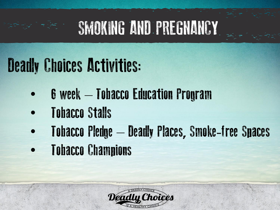## SMOKING AND PREGNANCY

### Deadly Choices Activities:

- 6 week Tobacco Education Program
- Tobacco Stalls
- Tobacco Pledge Deadly Places, Smoke-free Spaces
- Tobacco Champions

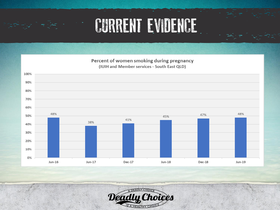### CURRENT EVIDENCE

Percent of women smoking during pregnancy (IUIH and Member services - South East QLD)



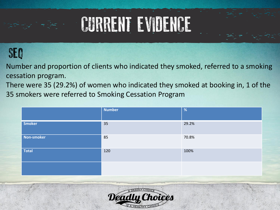## CURRENT EVIDENCE

#### SEQ

Number and proportion of clients who indicated they smoked, referred to a smoking cessation program.

There were 35 (29.2%) of women who indicated they smoked at booking in, 1 of the 35 smokers were referred to Smoking Cessation Program

|              | <b>Number</b> | %     |
|--------------|---------------|-------|
| Smoker       | 35            | 29.2% |
| Non-smoker   | 85            | 70.8% |
| <b>Total</b> | 120           | 100%  |
|              |               |       |

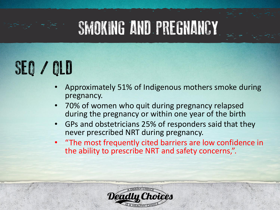### SMOKING AND PREGNANCY

## SEQ / QLD

- Approximately 51% of Indigenous mothers smoke during pregnancy.
- 70% of women who quit during pregnancy relapsed during the pregnancy or within one year of the birth
- GPs and obstetricians 25% of responders said that they never prescribed NRT during pregnancy.
- "The most frequently cited barriers are low confidence in the ability to prescribe NRT and safety concerns,".

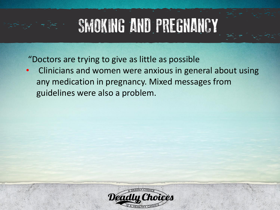## SMOKING AND PREGNANCY

"Doctors are trying to give as little as possible

• Clinicians and women were anxious in general about using any medication in pregnancy. Mixed messages from guidelines were also a problem.

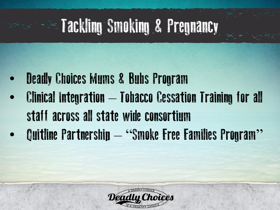# Tackling Smoking & Pregnancy

- **Deadly Choices Mums & Bubs Program** • Clinical Integration – Tobacco Cessation Training for all staff across all state wide consortium
- Quitline Partnership "Smoke Free Families Program"